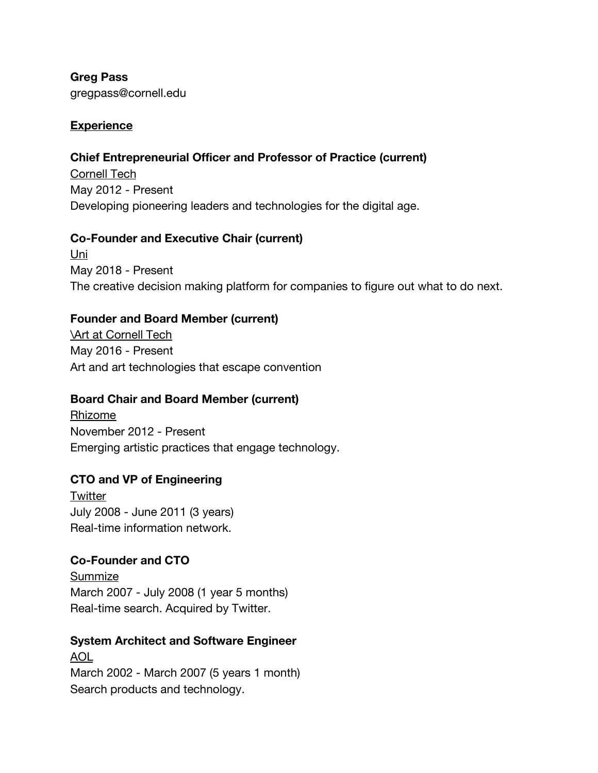**Greg Pass** gregpass@cornell.edu

### **Experience**

### **Chief Entrepreneurial Officer and Professor of Practice (current)**

Cornell Tech May 2012 - Present Developing pioneering leaders and technologies for the digital age.

### **Co-Founder and Executive Chair (current)**

Uni May 2018 - Present The creative decision making platform for companies to figure out what to do next.

# **Founder and Board Member (current)**

**Art at Cornell Tech** May 2016 - Present Art and art technologies that escape convention

# **Board Chair and Board Member (current)**

Rhizome November 2012 - Present Emerging artistic practices that engage technology.

# **CTO and VP of Engineering**

**Twitter** July 2008 - June 2011 (3 years) Real-time information network.

### **Co-Founder and CTO**

Summize March 2007 - July 2008 (1 year 5 months) Real-time search. Acquired by Twitter.

# **System Architect and Software Engineer** AOL

March 2002 - March 2007 (5 years 1 month) Search products and technology.